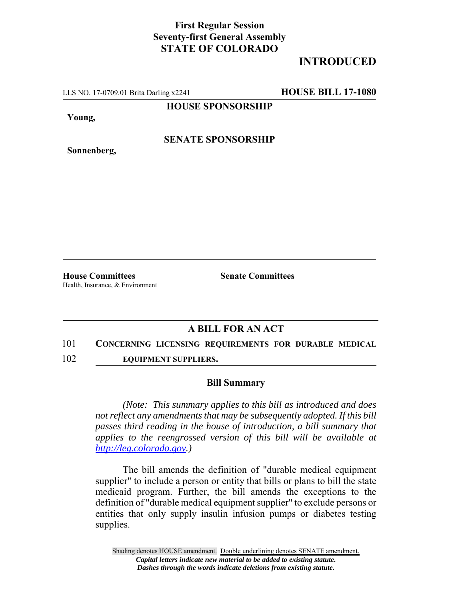## **First Regular Session Seventy-first General Assembly STATE OF COLORADO**

# **INTRODUCED**

LLS NO. 17-0709.01 Brita Darling x2241 **HOUSE BILL 17-1080**

**HOUSE SPONSORSHIP**

**Young,**

**Sonnenberg,**

**SENATE SPONSORSHIP**

**House Committees Senate Committees** Health, Insurance, & Environment

## **A BILL FOR AN ACT**

#### 101 **CONCERNING LICENSING REQUIREMENTS FOR DURABLE MEDICAL**

102 **EQUIPMENT SUPPLIERS.**

### **Bill Summary**

*(Note: This summary applies to this bill as introduced and does not reflect any amendments that may be subsequently adopted. If this bill passes third reading in the house of introduction, a bill summary that applies to the reengrossed version of this bill will be available at http://leg.colorado.gov.)*

The bill amends the definition of "durable medical equipment supplier" to include a person or entity that bills or plans to bill the state medicaid program. Further, the bill amends the exceptions to the definition of "durable medical equipment supplier" to exclude persons or entities that only supply insulin infusion pumps or diabetes testing supplies.

Shading denotes HOUSE amendment. Double underlining denotes SENATE amendment. *Capital letters indicate new material to be added to existing statute. Dashes through the words indicate deletions from existing statute.*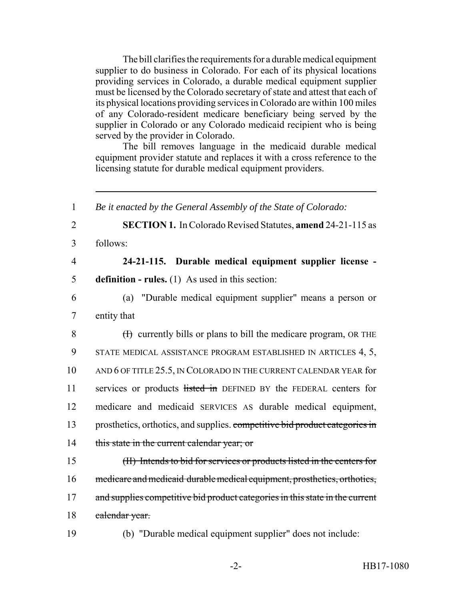The bill clarifies the requirements for a durable medical equipment supplier to do business in Colorado. For each of its physical locations providing services in Colorado, a durable medical equipment supplier must be licensed by the Colorado secretary of state and attest that each of its physical locations providing services in Colorado are within 100 miles of any Colorado-resident medicare beneficiary being served by the supplier in Colorado or any Colorado medicaid recipient who is being served by the provider in Colorado.

The bill removes language in the medicaid durable medical equipment provider statute and replaces it with a cross reference to the licensing statute for durable medical equipment providers.

 *Be it enacted by the General Assembly of the State of Colorado:* **SECTION 1.** In Colorado Revised Statutes, **amend** 24-21-115 as 3 follows: **24-21-115. Durable medical equipment supplier license - definition - rules.** (1) As used in this section: (a) "Durable medical equipment supplier" means a person or entity that 8 (I) currently bills or plans to bill the medicare program, OR THE STATE MEDICAL ASSISTANCE PROGRAM ESTABLISHED IN ARTICLES 4, 5, AND 6 OF TITLE 25.5, IN COLORADO IN THE CURRENT CALENDAR YEAR for 11 services or products listed in DEFINED BY the FEDERAL centers for medicare and medicaid SERVICES AS durable medical equipment, 13 prosthetics, orthotics, and supplies, competitive bid product categories in 14 this state in the current calendar year; or (II) Intends to bid for services or products listed in the centers for medicare and medicaid durable medical equipment, prosthetics, orthotics, 17 and supplies competitive bid product categories in this state in the current 18 calendar year. (b) "Durable medical equipment supplier" does not include: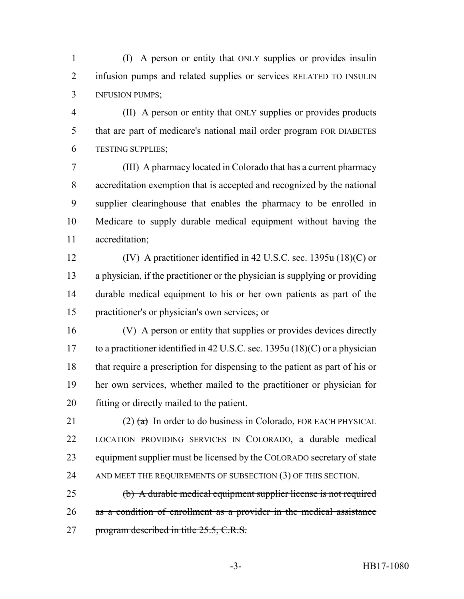(I) A person or entity that ONLY supplies or provides insulin 2 infusion pumps and related supplies or services RELATED TO INSULIN INFUSION PUMPS;

 (II) A person or entity that ONLY supplies or provides products that are part of medicare's national mail order program FOR DIABETES TESTING SUPPLIES;

 (III) A pharmacy located in Colorado that has a current pharmacy accreditation exemption that is accepted and recognized by the national supplier clearinghouse that enables the pharmacy to be enrolled in Medicare to supply durable medical equipment without having the accreditation;

 (IV) A practitioner identified in 42 U.S.C. sec. 1395u (18)(C) or a physician, if the practitioner or the physician is supplying or providing durable medical equipment to his or her own patients as part of the practitioner's or physician's own services; or

 (V) A person or entity that supplies or provides devices directly to a practitioner identified in 42 U.S.C. sec. 1395u (18)(C) or a physician that require a prescription for dispensing to the patient as part of his or her own services, whether mailed to the practitioner or physician for fitting or directly mailed to the patient.

21 (2)  $(a)$  In order to do business in Colorado, FOR EACH PHYSICAL LOCATION PROVIDING SERVICES IN COLORADO, a durable medical equipment supplier must be licensed by the COLORADO secretary of state 24 AND MEET THE REQUIREMENTS OF SUBSECTION (3) OF THIS SECTION.

 (b) A durable medical equipment supplier license is not required as a condition of enrollment as a provider in the medical assistance 27 program described in title 25.5, C.R.S.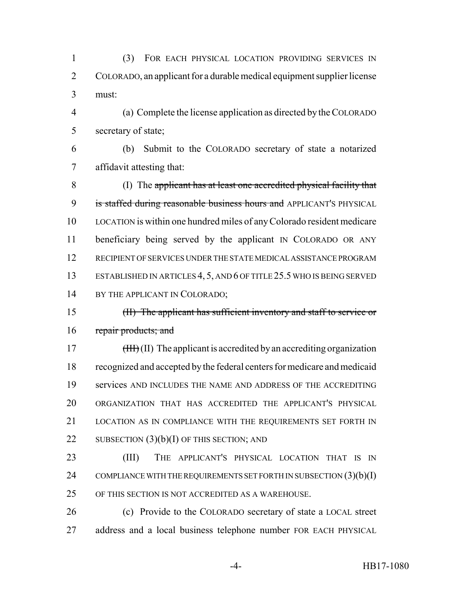(3) FOR EACH PHYSICAL LOCATION PROVIDING SERVICES IN COLORADO, an applicant for a durable medical equipment supplier license must:

 (a) Complete the license application as directed by the COLORADO secretary of state;

 (b) Submit to the COLORADO secretary of state a notarized affidavit attesting that:

 (I) The applicant has at least one accredited physical facility that 9 is staffed during reasonable business hours and APPLICANT'S PHYSICAL LOCATION is within one hundred miles of any Colorado resident medicare beneficiary being served by the applicant IN COLORADO OR ANY RECIPIENT OF SERVICES UNDER THE STATE MEDICAL ASSISTANCE PROGRAM ESTABLISHED IN ARTICLES 4, 5, AND 6 OF TITLE 25.5 WHO IS BEING SERVED 14 BY THE APPLICANT IN COLORADO;

 (II) The applicant has sufficient inventory and staff to service or 16 repair products; and

17 (III) The applicant is accredited by an accrediting organization recognized and accepted by the federal centers for medicare and medicaid services AND INCLUDES THE NAME AND ADDRESS OF THE ACCREDITING ORGANIZATION THAT HAS ACCREDITED THE APPLICANT'S PHYSICAL LOCATION AS IN COMPLIANCE WITH THE REQUIREMENTS SET FORTH IN 22 SUBSECTION  $(3)(b)(I)$  OF THIS SECTION; AND

 (III) THE APPLICANT'S PHYSICAL LOCATION THAT IS IN 24 COMPLIANCE WITH THE REQUIREMENTS SET FORTH IN SUBSECTION  $(3)(b)(I)$ OF THIS SECTION IS NOT ACCREDITED AS A WAREHOUSE.

 (c) Provide to the COLORADO secretary of state a LOCAL street address and a local business telephone number FOR EACH PHYSICAL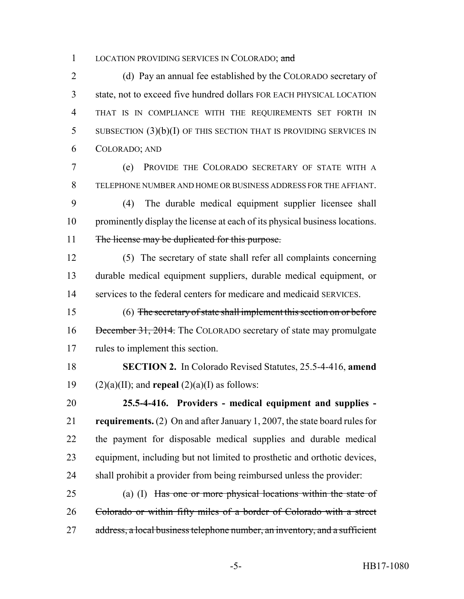1 LOCATION PROVIDING SERVICES IN COLORADO; and

 (d) Pay an annual fee established by the COLORADO secretary of state, not to exceed five hundred dollars FOR EACH PHYSICAL LOCATION THAT IS IN COMPLIANCE WITH THE REQUIREMENTS SET FORTH IN SUBSECTION (3)(b)(I) OF THIS SECTION THAT IS PROVIDING SERVICES IN COLORADO; AND

 (e) PROVIDE THE COLORADO SECRETARY OF STATE WITH A TELEPHONE NUMBER AND HOME OR BUSINESS ADDRESS FOR THE AFFIANT.

 (4) The durable medical equipment supplier licensee shall prominently display the license at each of its physical business locations. 11 The license may be duplicated for this purpose.

 (5) The secretary of state shall refer all complaints concerning durable medical equipment suppliers, durable medical equipment, or services to the federal centers for medicare and medicaid SERVICES.

 (6) The secretary of state shall implement this section on or before 16 December 31, 2014. The COLORADO secretary of state may promulgate rules to implement this section.

 **SECTION 2.** In Colorado Revised Statutes, 25.5-4-416, **amend** 19 (2)(a)(II); and **repeal** (2)(a)(I) as follows:

 **25.5-4-416. Providers - medical equipment and supplies - requirements.** (2) On and after January 1, 2007, the state board rules for the payment for disposable medical supplies and durable medical equipment, including but not limited to prosthetic and orthotic devices, shall prohibit a provider from being reimbursed unless the provider:

 (a) (I) Has one or more physical locations within the state of Colorado or within fifty miles of a border of Colorado with a street 27 address, a local business telephone number, an inventory, and a sufficient